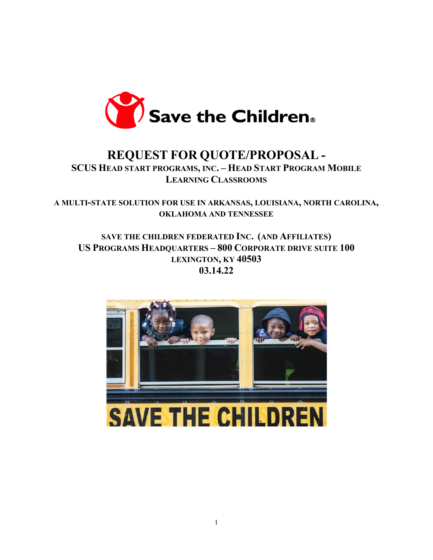

# **REQUEST FOR QUOTE/PROPOSAL -**

**SCUS HEAD START PROGRAMS, INC. – HEAD START PROGRAM MOBILE LEARNING CLASSROOMS** 

**A MULTI-STATE SOLUTION FOR USE IN ARKANSAS, LOUISIANA, NORTH CAROLINA, OKLAHOMA AND TENNESSEE**

**SAVE THE CHILDREN FEDERATED INC. (AND AFFILIATES) US PROGRAMS HEADQUARTERS – 800 CORPORATE DRIVE SUITE 100 LEXINGTON, KY 40503 03.14.22**

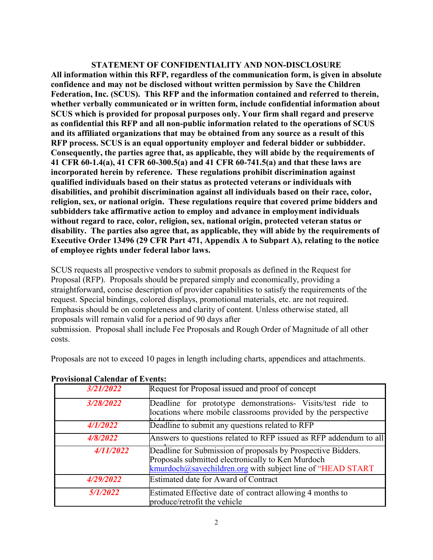#### **STATEMENT OF CONFIDENTIALITY AND NON-DISCLOSURE**

**All information within this RFP, regardless of the communication form, is given in absolute confidence and may not be disclosed without written permission by Save the Children Federation, Inc. (SCUS). This RFP and the information contained and referred to therein, whether verbally communicated or in written form, include confidential information about SCUS which is provided for proposal purposes only. Your firm shall regard and preserve as confidential this RFP and all non-public information related to the operations of SCUS and its affiliated organizations that may be obtained from any source as a result of this RFP process. SCUS is an equal opportunity employer and federal bidder or subbidder. Consequently, the parties agree that, as applicable, they will abide by the requirements of 41 CFR 60-1.4(a), 41 CFR 60-300.5(a) and 41 CFR 60-741.5(a) and that these laws are incorporated herein by reference. These regulations prohibit discrimination against qualified individuals based on their status as protected veterans or individuals with disabilities, and prohibit discrimination against all individuals based on their race, color, religion, sex, or national origin. These regulations require that covered prime bidders and subbidders take affirmative action to employ and advance in employment individuals without regard to race, color, religion, sex, national origin, protected veteran status or disability. The parties also agree that, as applicable, they will abide by the requirements of Executive Order 13496 (29 CFR Part 471, Appendix A to Subpart A), relating to the notice of employee rights under federal labor laws.**

SCUS requests all prospective vendors to submit proposals as defined in the Request for Proposal (RFP). Proposals should be prepared simply and economically, providing a straightforward, concise description of provider capabilities to satisfy the requirements of the request. Special bindings, colored displays, promotional materials, etc. are not required. Emphasis should be on completeness and clarity of content. Unless otherwise stated, all proposals will remain valid for a period of 90 days after submission. Proposal shall include Fee Proposals and Rough Order of Magnitude of all other costs.

Proposals are not to exceed 10 pages in length including charts, appendices and attachments.

| 3/21/2022 | Request for Proposal issued and proof of concept                                                                                                                                |  |
|-----------|---------------------------------------------------------------------------------------------------------------------------------------------------------------------------------|--|
| 3/28/2022 | Deadline for prototype demonstrations- Visits/test ride to<br>locations where mobile classrooms provided by the perspective                                                     |  |
| 4/1/2022  | Deadline to submit any questions related to RFP                                                                                                                                 |  |
| 4/8/2022  | Answers to questions related to RFP issued as RFP addendum to all                                                                                                               |  |
| 4/11/2022 | Deadline for Submission of proposals by Prospective Bidders.<br>Proposals submitted electronically to Ken Murdoch<br>kmurdoch@savechildren.org with subject line of "HEAD START |  |
| 4/29/2022 | Estimated date for Award of Contract                                                                                                                                            |  |
| 5/1/2022  | Estimated Effective date of contract allowing 4 months to<br>produce/retrofit the vehicle                                                                                       |  |

#### **Provisional Calendar of Events:**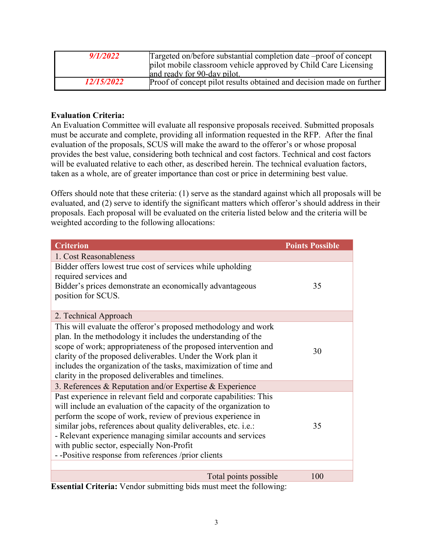| 9/1/2022          | Targeted on/before substantial completion date –proof of concept<br>pilot mobile classroom vehicle approved by Child Care Licensing |
|-------------------|-------------------------------------------------------------------------------------------------------------------------------------|
|                   | and ready for 90-day pilot.                                                                                                         |
| <i>12/15/2022</i> | Proof of concept pilot results obtained and decision made on further                                                                |

#### **Evaluation Criteria:**

An Evaluation Committee will evaluate all responsive proposals received. Submitted proposals must be accurate and complete, providing all information requested in the RFP. After the final evaluation of the proposals, SCUS will make the award to the offeror's or whose proposal provides the best value, considering both technical and cost factors. Technical and cost factors will be evaluated relative to each other, as described herein. The technical evaluation factors, taken as a whole, are of greater importance than cost or price in determining best value.

Offers should note that these criteria: (1) serve as the standard against which all proposals will be evaluated, and (2) serve to identify the significant matters which offeror's should address in their proposals. Each proposal will be evaluated on the criteria listed below and the criteria will be weighted according to the following allocations:

| <b>Criterion</b>                                                   |                       | <b>Points Possible</b> |
|--------------------------------------------------------------------|-----------------------|------------------------|
| 1. Cost Reasonableness                                             |                       |                        |
| Bidder offers lowest true cost of services while upholding         |                       |                        |
| required services and                                              |                       |                        |
| Bidder's prices demonstrate an economically advantageous           |                       | 35                     |
| position for SCUS.                                                 |                       |                        |
| 2. Technical Approach                                              |                       |                        |
| This will evaluate the offeror's proposed methodology and work     |                       |                        |
| plan. In the methodology it includes the understanding of the      |                       |                        |
| scope of work; appropriateness of the proposed intervention and    |                       |                        |
| clarity of the proposed deliverables. Under the Work plan it       |                       | 30                     |
| includes the organization of the tasks, maximization of time and   |                       |                        |
| clarity in the proposed deliverables and timelines.                |                       |                        |
| 3. References & Reputation and/or Expertise & Experience           |                       |                        |
| Past experience in relevant field and corporate capabilities: This |                       |                        |
| will include an evaluation of the capacity of the organization to  |                       |                        |
| perform the scope of work, review of previous experience in        |                       |                        |
| similar jobs, references about quality deliverables, etc. i.e.:    |                       | 35                     |
| - Relevant experience managing similar accounts and services       |                       |                        |
| with public sector, especially Non-Profit                          |                       |                        |
| - -Positive response from references /prior clients                |                       |                        |
|                                                                    |                       |                        |
|                                                                    | Total points possible | 100                    |

**Essential Criteria:** Vendor submitting bids must meet the following: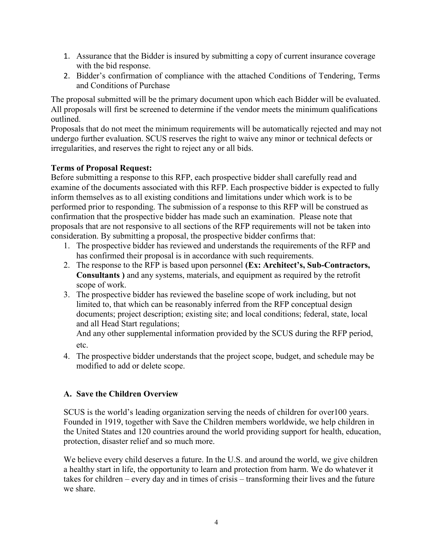- 1. Assurance that the Bidder is insured by submitting a copy of current insurance coverage with the bid response.
- 2. Bidder's confirmation of compliance with the attached Conditions of Tendering, Terms and Conditions of Purchase

The proposal submitted will be the primary document upon which each Bidder will be evaluated. All proposals will first be screened to determine if the vendor meets the minimum qualifications outlined.

Proposals that do not meet the minimum requirements will be automatically rejected and may not undergo further evaluation. SCUS reserves the right to waive any minor or technical defects or irregularities, and reserves the right to reject any or all bids.

## **Terms of Proposal Request:**

Before submitting a response to this RFP, each prospective bidder shall carefully read and examine of the documents associated with this RFP. Each prospective bidder is expected to fully inform themselves as to all existing conditions and limitations under which work is to be performed prior to responding. The submission of a response to this RFP will be construed as confirmation that the prospective bidder has made such an examination. Please note that proposals that are not responsive to all sections of the RFP requirements will not be taken into consideration. By submitting a proposal, the prospective bidder confirms that:

- 1. The prospective bidder has reviewed and understands the requirements of the RFP and has confirmed their proposal is in accordance with such requirements.
- 2. The response to the RFP is based upon personnel **(Ex: Architect's, Sub-Contractors, Consultants )** and any systems, materials, and equipment as required by the retrofit scope of work.
- 3. The prospective bidder has reviewed the baseline scope of work including, but not limited to, that which can be reasonably inferred from the RFP conceptual design documents; project description; existing site; and local conditions; federal, state, local and all Head Start regulations;

And any other supplemental information provided by the SCUS during the RFP period, etc.

4. The prospective bidder understands that the project scope, budget, and schedule may be modified to add or delete scope.

## **A. Save the Children Overview**

SCUS is the world's leading organization serving the needs of children for over100 years. Founded in 1919, together with Save the Children members worldwide, we help children in the United States and 120 countries around the world providing support for health, education, protection, disaster relief and so much more.

We believe every child deserves a future. In the U.S. and around the world, we give children a healthy start in life, the opportunity to learn and protection from harm. We do whatever it takes for children – every day and in times of crisis – transforming their lives and the future we share.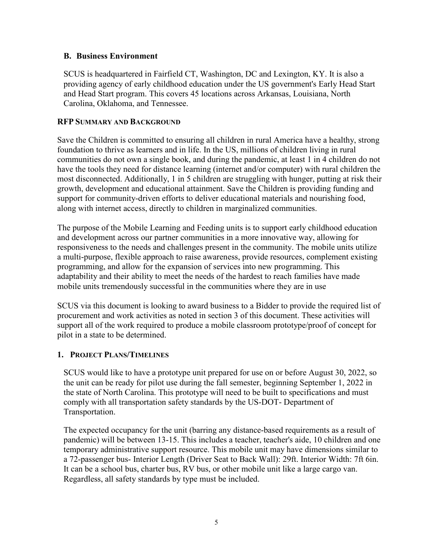#### **B. Business Environment**

SCUS is headquartered in Fairfield CT, Washington, DC and Lexington, KY. It is also a providing agency of early childhood education under the US government's Early Head Start and Head Start program. This covers 45 locations across Arkansas, Louisiana, North Carolina, Oklahoma, and Tennessee.

#### **RFP SUMMARY AND BACKGROUND**

Save the Children is committed to ensuring all children in rural America have a healthy, strong foundation to thrive as learners and in life. In the US, millions of children living in rural communities do not own a single book, and during the pandemic, at least 1 in 4 children do not have the tools they need for distance learning (internet and/or computer) with rural children the most disconnected. Additionally, 1 in 5 children are struggling with hunger, putting at risk their growth, development and educational attainment. Save the Children is providing funding and support for community-driven efforts to deliver educational materials and nourishing food, along with internet access, directly to children in marginalized communities.

The purpose of the Mobile Learning and Feeding units is to support early childhood education and development across our partner communities in a more innovative way, allowing for responsiveness to the needs and challenges present in the community. The mobile units utilize a multi-purpose, flexible approach to raise awareness, provide resources, complement existing programming, and allow for the expansion of services into new programming. This adaptability and their ability to meet the needs of the hardest to reach families have made mobile units tremendously successful in the communities where they are in use

SCUS via this document is looking to award business to a Bidder to provide the required list of procurement and work activities as noted in section 3 of this document. These activities will support all of the work required to produce a mobile classroom prototype/proof of concept for pilot in a state to be determined.

## **1. PROJECT PLANS/TIMELINES**

SCUS would like to have a prototype unit prepared for use on or before August 30, 2022, so the unit can be ready for pilot use during the fall semester, beginning September 1, 2022 in the state of North Carolina. This prototype will need to be built to specifications and must comply with all transportation safety standards by the US-DOT- Department of Transportation.

The expected occupancy for the unit (barring any distance-based requirements as a result of pandemic) will be between 13-15. This includes a teacher, teacher's aide, 10 children and one temporary administrative support resource. This mobile unit may have dimensions similar to a 72-passenger bus- Interior Length (Driver Seat to Back Wall): 29ft. Interior Width: 7ft 6in. It can be a school bus, charter bus, RV bus, or other mobile unit like a large cargo van. Regardless, all safety standards by type must be included.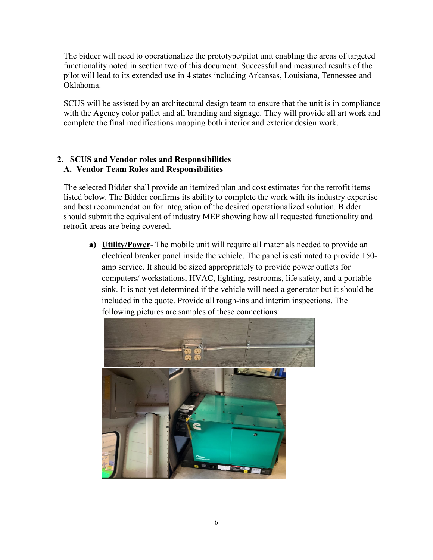The bidder will need to operationalize the prototype/pilot unit enabling the areas of targeted functionality noted in section two of this document. Successful and measured results of the pilot will lead to its extended use in 4 states including Arkansas, Louisiana, Tennessee and Oklahoma.

SCUS will be assisted by an architectural design team to ensure that the unit is in compliance with the Agency color pallet and all branding and signage. They will provide all art work and complete the final modifications mapping both interior and exterior design work.

## **2. SCUS and Vendor roles and Responsibilities A. Vendor Team Roles and Responsibilities**

The selected Bidder shall provide an itemized plan and cost estimates for the retrofit items listed below. The Bidder confirms its ability to complete the work with its industry expertise and best recommendation for integration of the desired operationalized solution. Bidder should submit the equivalent of industry MEP showing how all requested functionality and retrofit areas are being covered.

**a) Utility/Power**- The mobile unit will require all materials needed to provide an electrical breaker panel inside the vehicle. The panel is estimated to provide 150 amp service. It should be sized appropriately to provide power outlets for computers/ workstations, HVAC, lighting, restrooms, life safety, and a portable sink. It is not yet determined if the vehicle will need a generator but it should be included in the quote. Provide all rough-ins and interim inspections. The following pictures are samples of these connections:

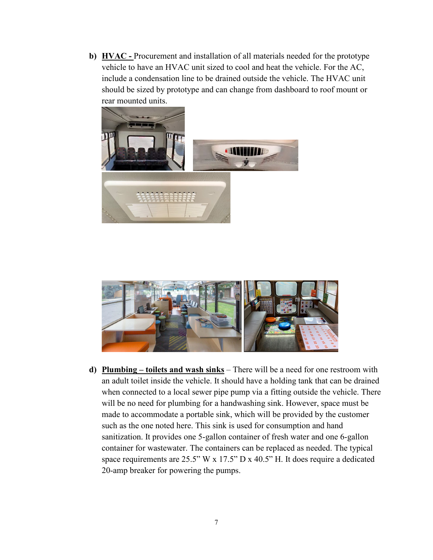**b) HVAC -** Procurement and installation of all materials needed for the prototype vehicle to have an HVAC unit sized to cool and heat the vehicle. For the AC, include a condensation line to be drained outside the vehicle. The HVAC unit should be sized by prototype and can change from dashboard to roof mount or rear mounted units.





**d) Plumbing – toilets and wash sinks** – There will be a need for one restroom with an adult toilet inside the vehicle. It should have a holding tank that can be drained when connected to a local sewer pipe pump via a fitting outside the vehicle. There will be no need for plumbing for a handwashing sink. However, space must be made to accommodate a portable sink, which will be provided by the customer such as the one noted here. This sink is used for consumption and hand sanitization. It provides one 5-gallon container of fresh water and one 6-gallon container for wastewater. The containers can be replaced as needed. The typical space requirements are 25.5" W x 17.5" D x 40.5" H. It does require a dedicated 20-amp breaker for powering the pumps.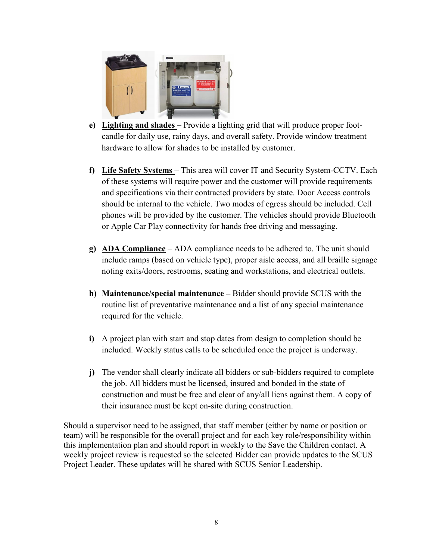

- **e) Lighting and shades**  Provide a lighting grid that will produce proper footcandle for daily use, rainy days, and overall safety. Provide window treatment hardware to allow for shades to be installed by customer.
- **f) Life Safety Systems**  This area will cover IT and Security System-CCTV. Each of these systems will require power and the customer will provide requirements and specifications via their contracted providers by state. Door Access controls should be internal to the vehicle. Two modes of egress should be included. Cell phones will be provided by the customer. The vehicles should provide Bluetooth or Apple Car Play connectivity for hands free driving and messaging.
- **g) ADA Compliance** ADA compliance needs to be adhered to. The unit should include ramps (based on vehicle type), proper aisle access, and all braille signage noting exits/doors, restrooms, seating and workstations, and electrical outlets.
- **h) Maintenance/special maintenance –** Bidder should provide SCUS with the routine list of preventative maintenance and a list of any special maintenance required for the vehicle.
- **i)** A project plan with start and stop dates from design to completion should be included. Weekly status calls to be scheduled once the project is underway.
- **j)** The vendor shall clearly indicate all bidders or sub-bidders required to complete the job. All bidders must be licensed, insured and bonded in the state of construction and must be free and clear of any/all liens against them. A copy of their insurance must be kept on-site during construction.

Should a supervisor need to be assigned, that staff member (either by name or position or team) will be responsible for the overall project and for each key role/responsibility within this implementation plan and should report in weekly to the Save the Children contact. A weekly project review is requested so the selected Bidder can provide updates to the SCUS Project Leader. These updates will be shared with SCUS Senior Leadership.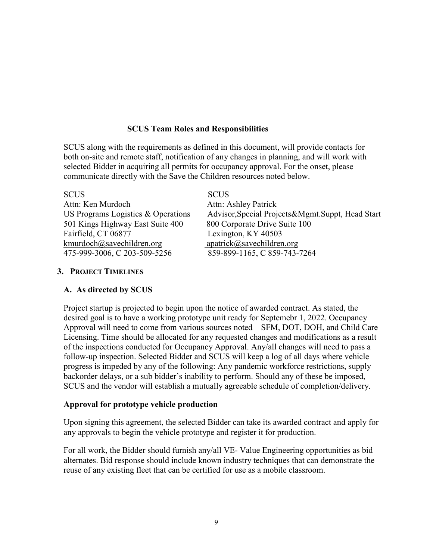#### **SCUS Team Roles and Responsibilities**

SCUS along with the requirements as defined in this document, will provide contacts for both on-site and remote staff, notification of any changes in planning, and will work with selected Bidder in acquiring all permits for occupancy approval. For the onset, please communicate directly with the Save the Children resources noted below.

| <b>SCUS</b>                        | <b>SCUS</b>                                       |
|------------------------------------|---------------------------------------------------|
| Attn: Ken Murdoch                  | Attn: Ashley Patrick                              |
| US Programs Logistics & Operations | Advisor, Special Projects&Mgmt. Suppt, Head Start |
| 501 Kings Highway East Suite 400   | 800 Corporate Drive Suite 100                     |
| Fairfield, CT 06877                | Lexington, KY 40503                               |
| kmurdoch@savechildren.org          | $apatrick@$ savechildren.org                      |
| 475-999-3006, C 203-509-5256       | 859-899-1165, C 859-743-7264                      |

#### **3. PROJECT TIMELINES**

#### **A. As directed by SCUS**

Project startup is projected to begin upon the notice of awarded contract. As stated, the desired goal is to have a working prototype unit ready for Septemebr 1, 2022. Occupancy Approval will need to come from various sources noted – SFM, DOT, DOH, and Child Care Licensing. Time should be allocated for any requested changes and modifications as a result of the inspections conducted for Occupancy Approval. Any/all changes will need to pass a follow-up inspection. Selected Bidder and SCUS will keep a log of all days where vehicle progress is impeded by any of the following: Any pandemic workforce restrictions, supply backorder delays, or a sub bidder's inability to perform. Should any of these be imposed, SCUS and the vendor will establish a mutually agreeable schedule of completion/delivery.

#### **Approval for prototype vehicle production**

Upon signing this agreement, the selected Bidder can take its awarded contract and apply for any approvals to begin the vehicle prototype and register it for production.

For all work, the Bidder should furnish any/all VE- Value Engineering opportunities as bid alternates. Bid response should include known industry techniques that can demonstrate the reuse of any existing fleet that can be certified for use as a mobile classroom.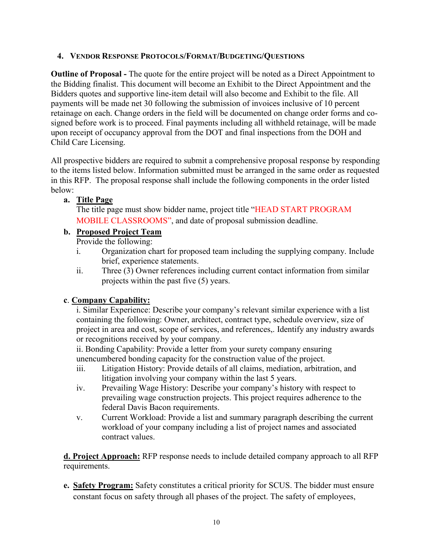#### **4. VENDOR RESPONSE PROTOCOLS/FORMAT/BUDGETING/QUESTIONS**

**Outline of Proposal -** The quote for the entire project will be noted as a Direct Appointment to the Bidding finalist. This document will become an Exhibit to the Direct Appointment and the Bidders quotes and supportive line-item detail will also become and Exhibit to the file. All payments will be made net 30 following the submission of invoices inclusive of 10 percent retainage on each. Change orders in the field will be documented on change order forms and cosigned before work is to proceed. Final payments including all withheld retainage, will be made upon receipt of occupancy approval from the DOT and final inspections from the DOH and Child Care Licensing.

All prospective bidders are required to submit a comprehensive proposal response by responding to the items listed below. Information submitted must be arranged in the same order as requested in this RFP. The proposal response shall include the following components in the order listed below:

**a. Title Page**

The title page must show bidder name, project title "HEAD START PROGRAM MOBILE CLASSROOMS", and date of proposal submission deadline.

## **b. Proposed Project Team**

Provide the following:

- i. Organization chart for proposed team including the supplying company. Include brief, experience statements.
- ii. Three (3) Owner references including current contact information from similar projects within the past five (5) years.

## **c**. **Company Capability:**

i. Similar Experience: Describe your company's relevant similar experience with a list containing the following: Owner, architect, contract type, schedule overview, size of project in area and cost, scope of services, and references,. Identify any industry awards or recognitions received by your company.

ii. Bonding Capability: Provide a letter from your surety company ensuring unencumbered bonding capacity for the construction value of the project.

- iii. Litigation History: Provide details of all claims, mediation, arbitration, and litigation involving your company within the last 5 years.
- iv. Prevailing Wage History: Describe your company's history with respect to prevailing wage construction projects. This project requires adherence to the federal Davis Bacon requirements.
- v. Current Workload: Provide a list and summary paragraph describing the current workload of your company including a list of project names and associated contract values.

**d. Project Approach:** RFP response needs to include detailed company approach to all RFP requirements.

**e. Safety Program:** Safety constitutes a critical priority for SCUS. The bidder must ensure constant focus on safety through all phases of the project. The safety of employees,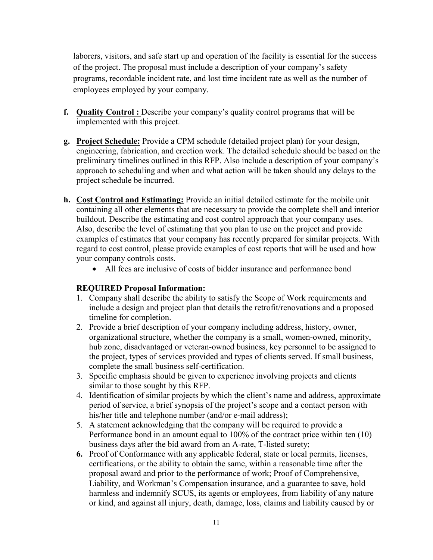laborers, visitors, and safe start up and operation of the facility is essential for the success of the project. The proposal must include a description of your company's safety programs, recordable incident rate, and lost time incident rate as well as the number of employees employed by your company.

- **f.** Quality Control: Describe your company's quality control programs that will be implemented with this project.
- **g. Project Schedule:** Provide a CPM schedule (detailed project plan) for your design, engineering, fabrication, and erection work. The detailed schedule should be based on the preliminary timelines outlined in this RFP. Also include a description of your company's approach to scheduling and when and what action will be taken should any delays to the project schedule be incurred.
- **h. Cost Control and Estimating:** Provide an initial detailed estimate for the mobile unit containing all other elements that are necessary to provide the complete shell and interior buildout. Describe the estimating and cost control approach that your company uses. Also, describe the level of estimating that you plan to use on the project and provide examples of estimates that your company has recently prepared for similar projects. With regard to cost control, please provide examples of cost reports that will be used and how your company controls costs.
	- All fees are inclusive of costs of bidder insurance and performance bond

## **REQUIRED Proposal Information:**

- 1. Company shall describe the ability to satisfy the Scope of Work requirements and include a design and project plan that details the retrofit/renovations and a proposed timeline for completion.
- 2. Provide a brief description of your company including address, history, owner, organizational structure, whether the company is a small, women-owned, minority, hub zone, disadvantaged or veteran-owned business, key personnel to be assigned to the project, types of services provided and types of clients served. If small business, complete the small business self-certification.
- 3. Specific emphasis should be given to experience involving projects and clients similar to those sought by this RFP.
- 4. Identification of similar projects by which the client's name and address, approximate period of service, a brief synopsis of the project's scope and a contact person with his/her title and telephone number (and/or e-mail address);
- 5. A statement acknowledging that the company will be required to provide a Performance bond in an amount equal to 100% of the contract price within ten (10) business days after the bid award from an A-rate, T-listed surety;
- **6.** Proof of Conformance with any applicable federal, state or local permits, licenses, certifications, or the ability to obtain the same, within a reasonable time after the proposal award and prior to the performance of work; Proof of Comprehensive, Liability, and Workman's Compensation insurance, and a guarantee to save, hold harmless and indemnify SCUS, its agents or employees, from liability of any nature or kind, and against all injury, death, damage, loss, claims and liability caused by or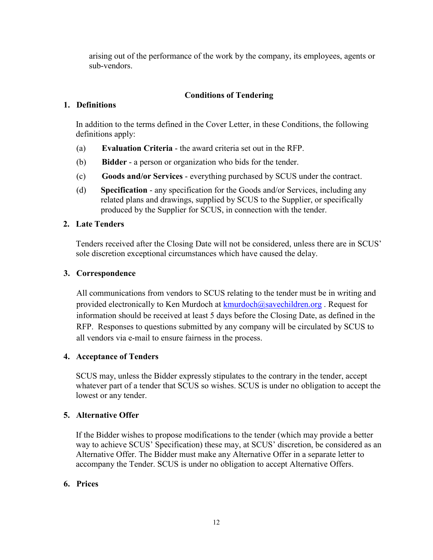arising out of the performance of the work by the company, its employees, agents or sub-vendors.

## **Conditions of Tendering**

## **1. Definitions**

In addition to the terms defined in the Cover Letter, in these Conditions, the following definitions apply:

- (a) **Evaluation Criteria** the award criteria set out in the RFP.
- (b) **Bidder** a person or organization who bids for the tender.
- (c) **Goods and/or Services**  everything purchased by SCUS under the contract.
- (d) **Specification** any specification for the Goods and/or Services, including any related plans and drawings, supplied by SCUS to the Supplier, or specifically produced by the Supplier for SCUS, in connection with the tender.

## **2. Late Tenders**

Tenders received after the Closing Date will not be considered, unless there are in SCUS' sole discretion exceptional circumstances which have caused the delay.

## **3. Correspondence**

All communications from vendors to SCUS relating to the tender must be in writing and provided electronically to Ken Murdoch at  $kmurdoch@savechildren.org$ . Request for information should be received at least 5 days before the Closing Date, as defined in the RFP. Responses to questions submitted by any company will be circulated by SCUS to all vendors via e-mail to ensure fairness in the process.

## **4. Acceptance of Tenders**

SCUS may, unless the Bidder expressly stipulates to the contrary in the tender, accept whatever part of a tender that SCUS so wishes. SCUS is under no obligation to accept the lowest or any tender.

## **5. Alternative Offer**

If the Bidder wishes to propose modifications to the tender (which may provide a better way to achieve SCUS' Specification) these may, at SCUS' discretion, be considered as an Alternative Offer. The Bidder must make any Alternative Offer in a separate letter to accompany the Tender. SCUS is under no obligation to accept Alternative Offers.

# **6. Prices**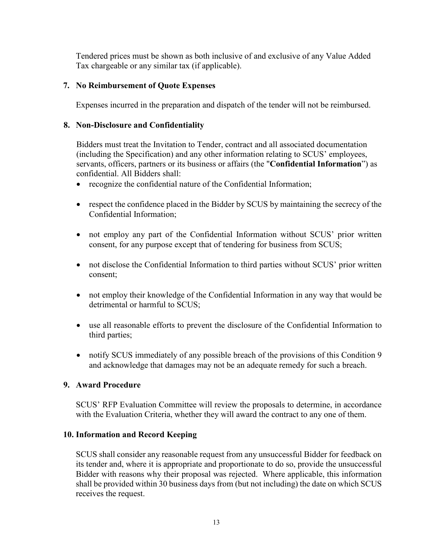Tendered prices must be shown as both inclusive of and exclusive of any Value Added Tax chargeable or any similar tax (if applicable).

#### **7. No Reimbursement of Quote Expenses**

Expenses incurred in the preparation and dispatch of the tender will not be reimbursed.

#### **8. Non-Disclosure and Confidentiality**

Bidders must treat the Invitation to Tender, contract and all associated documentation (including the Specification) and any other information relating to SCUS' employees, servants, officers, partners or its business or affairs (the "**Confidential Information**") as confidential. All Bidders shall:

- recognize the confidential nature of the Confidential Information;
- respect the confidence placed in the Bidder by SCUS by maintaining the secrecy of the Confidential Information;
- not employ any part of the Confidential Information without SCUS' prior written consent, for any purpose except that of tendering for business from SCUS;
- not disclose the Confidential Information to third parties without SCUS' prior written consent;
- not employ their knowledge of the Confidential Information in any way that would be detrimental or harmful to SCUS;
- use all reasonable efforts to prevent the disclosure of the Confidential Information to third parties;
- notify SCUS immediately of any possible breach of the provisions of this Condition 9 and acknowledge that damages may not be an adequate remedy for such a breach.

#### **9. Award Procedure**

SCUS' RFP Evaluation Committee will review the proposals to determine, in accordance with the Evaluation Criteria, whether they will award the contract to any one of them.

#### **10. Information and Record Keeping**

SCUS shall consider any reasonable request from any unsuccessful Bidder for feedback on its tender and, where it is appropriate and proportionate to do so, provide the unsuccessful Bidder with reasons why their proposal was rejected. Where applicable, this information shall be provided within 30 business days from (but not including) the date on which SCUS receives the request.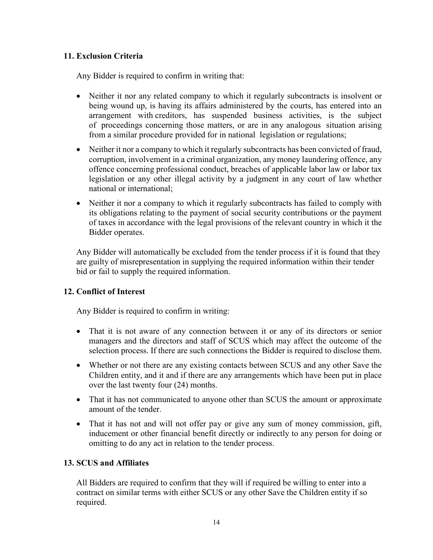## **11. Exclusion Criteria**

Any Bidder is required to confirm in writing that:

- Neither it nor any related company to which it regularly subcontracts is insolvent or being wound up, is having its affairs administered by the courts, has entered into an arrangement with creditors, has suspended business activities, is the subject of proceedings concerning those matters, or are in any analogous situation arising from a similar procedure provided for in national legislation or regulations;
- Neither it nor a company to which it regularly subcontracts has been convicted of fraud, corruption, involvement in a criminal organization, any money laundering offence, any offence concerning professional conduct, breaches of applicable labor law or labor tax legislation or any other illegal activity by a judgment in any court of law whether national or international;
- Neither it nor a company to which it regularly subcontracts has failed to comply with its obligations relating to the payment of social security contributions or the payment of taxes in accordance with the legal provisions of the relevant country in which it the Bidder operates.

Any Bidder will automatically be excluded from the tender process if it is found that they are guilty of misrepresentation in supplying the required information within their tender bid or fail to supply the required information.

# **12. Conflict of Interest**

Any Bidder is required to confirm in writing:

- That it is not aware of any connection between it or any of its directors or senior managers and the directors and staff of SCUS which may affect the outcome of the selection process. If there are such connections the Bidder is required to disclose them.
- Whether or not there are any existing contacts between SCUS and any other Save the Children entity, and it and if there are any arrangements which have been put in place over the last twenty four (24) months.
- That it has not communicated to anyone other than SCUS the amount or approximate amount of the tender.
- That it has not and will not offer pay or give any sum of money commission, gift, inducement or other financial benefit directly or indirectly to any person for doing or omitting to do any act in relation to the tender process.

## **13. SCUS and Affiliates**

All Bidders are required to confirm that they will if required be willing to enter into a contract on similar terms with either SCUS or any other Save the Children entity if so required.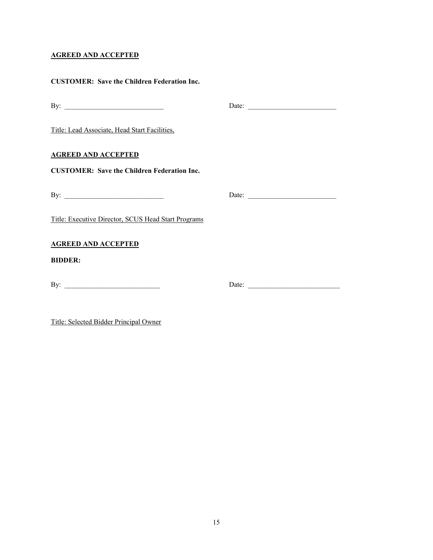#### **AGREED AND ACCEPTED**

Title: Selected Bidder Principal Owner

| <b>CUSTOMER: Save the Children Federation Inc.</b>  |                       |
|-----------------------------------------------------|-----------------------|
|                                                     | Date: $\qquad \qquad$ |
| Title: Lead Associate, Head Start Facilities,       |                       |
| <u>AGREED AND ACCEPTED</u>                          |                       |
| <b>CUSTOMER: Save the Children Federation Inc.</b>  |                       |
|                                                     |                       |
| Title: Executive Director, SCUS Head Start Programs |                       |
| <b>AGREED AND ACCEPTED</b>                          |                       |
| <b>BIDDER:</b>                                      |                       |
|                                                     | Date:                 |